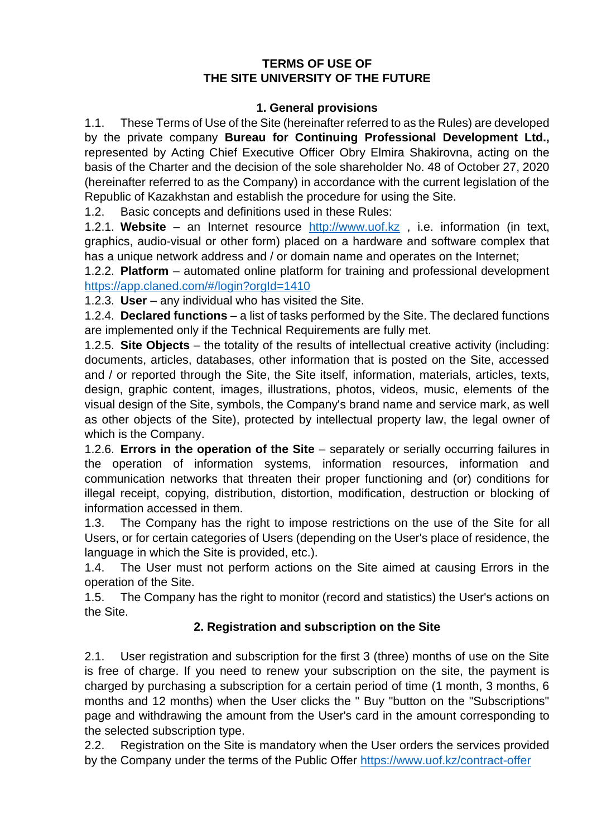#### **TERMS OF USE OF THE SITE UNIVERSITY OF THE FUTURE**

#### **1. General provisions**

1.1. These Terms of Use of the Site (hereinafter referred to as the Rules) are developed by the private company **Bureau for Continuing Professional Development Ltd.,** represented by Acting Chief Executive Officer Obry Elmira Shakirovna, acting on the basis of the Charter and the decision of the sole shareholder No. 48 of October 27, 2020 (hereinafter referred to as the Company) in accordance with the current legislation of the Republic of Kazakhstan and establish the procedure for using the Site.

1.2. Basic concepts and definitions used in these Rules:

1.2.1. **Website** – an Internet resource [http://www.uof.kz](http://www.uof.kz/) , i.e. information (in text, graphics, audio-visual or other form) placed on a hardware and software complex that has a unique network address and / or domain name and operates on the Internet;

1.2.2. **Platform** – automated online platform for training and professional development <https://app.claned.com/#/login?orgId=1410>

1.2.3. **User** – any individual who has visited the Site.

1.2.4. **Declared functions** – a list of tasks performed by the Site. The declared functions are implemented only if the Technical Requirements are fully met.

1.2.5. **Site Objects** – the totality of the results of intellectual creative activity (including: documents, articles, databases, other information that is posted on the Site, accessed and / or reported through the Site, the Site itself, information, materials, articles, texts, design, graphic content, images, illustrations, photos, videos, music, elements of the visual design of the Site, symbols, the Company's brand name and service mark, as well as other objects of the Site), protected by intellectual property law, the legal owner of which is the Company.

1.2.6. **Errors in the operation of the Site** – separately or serially occurring failures in the operation of information systems, information resources, information and communication networks that threaten their proper functioning and (or) conditions for illegal receipt, copying, distribution, distortion, modification, destruction or blocking of information accessed in them.

1.3. The Company has the right to impose restrictions on the use of the Site for all Users, or for certain categories of Users (depending on the User's place of residence, the language in which the Site is provided, etc.).

1.4. The User must not perform actions on the Site aimed at causing Errors in the operation of the Site.

1.5. The Company has the right to monitor (record and statistics) the User's actions on the Site.

## **2. Registration and subscription on the Site**

2.1. User registration and subscription for the first 3 (three) months of use on the Site is free of charge. If you need to renew your subscription on the site, the payment is charged by purchasing a subscription for a certain period of time (1 month, 3 months, 6 months and 12 months) when the User clicks the " Buy "button on the "Subscriptions" page and withdrawing the amount from the User's card in the amount corresponding to the selected subscription type.

2.2. Registration on the Site is mandatory when the User orders the services provided by the Company under the terms of the Public Offer<https://www.uof.kz/contract-offer>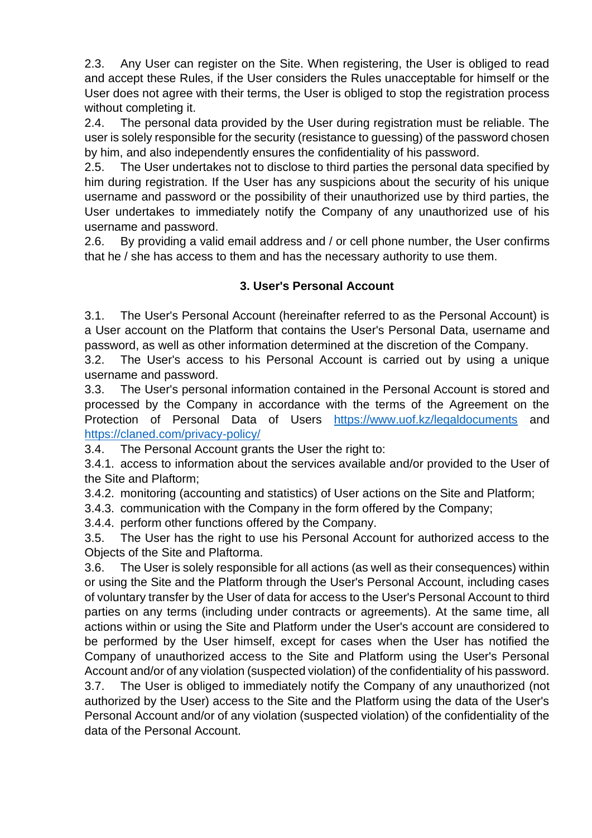2.3. Any User can register on the Site. When registering, the User is obliged to read and accept these Rules, if the User considers the Rules unacceptable for himself or the User does not agree with their terms, the User is obliged to stop the registration process without completing it.

2.4. The personal data provided by the User during registration must be reliable. The user is solely responsible for the security (resistance to guessing) of the password chosen by him, and also independently ensures the confidentiality of his password.

2.5. The User undertakes not to disclose to third parties the personal data specified by him during registration. If the User has any suspicions about the security of his unique username and password or the possibility of their unauthorized use by third parties, the User undertakes to immediately notify the Company of any unauthorized use of his username and password.

2.6. By providing a valid email address and / or cell phone number, the User confirms that he / she has access to them and has the necessary authority to use them.

## **3. User's Personal Account**

3.1. The User's Personal Account (hereinafter referred to as the Personal Account) is a User account on the Platform that contains the User's Personal Data, username and password, as well as other information determined at the discretion of the Company.

3.2. The User's access to his Personal Account is carried out by using a unique username and password.

3.3. The User's personal information contained in the Personal Account is stored and processed by the Company in accordance with the terms of the Agreement on the Protection of Personal Data of Users <https://www.uof.kz/legaldocuments> and <https://claned.com/privacy-policy/>

3.4. The Personal Account grants the User the right to:

3.4.1. access to information about the services available and/or provided to the User of the Site and Plaftorm;

3.4.2. monitoring (accounting and statistics) of User actions on the Site and Platform;

3.4.3. communication with the Company in the form offered by the Company;

3.4.4. perform other functions offered by the Company.

3.5. The User has the right to use his Personal Account for authorized access to the Objects of the Site and Plaftorma.

3.6. The User is solely responsible for all actions (as well as their consequences) within or using the Site and the Platform through the User's Personal Account, including cases of voluntary transfer by the User of data for access to the User's Personal Account to third parties on any terms (including under contracts or agreements). At the same time, all actions within or using the Site and Platform under the User's account are considered to be performed by the User himself, except for cases when the User has notified the Company of unauthorized access to the Site and Platform using the User's Personal Account and/or of any violation (suspected violation) of the confidentiality of his password.

3.7. The User is obliged to immediately notify the Company of any unauthorized (not authorized by the User) access to the Site and the Platform using the data of the User's Personal Account and/or of any violation (suspected violation) of the confidentiality of the data of the Personal Account.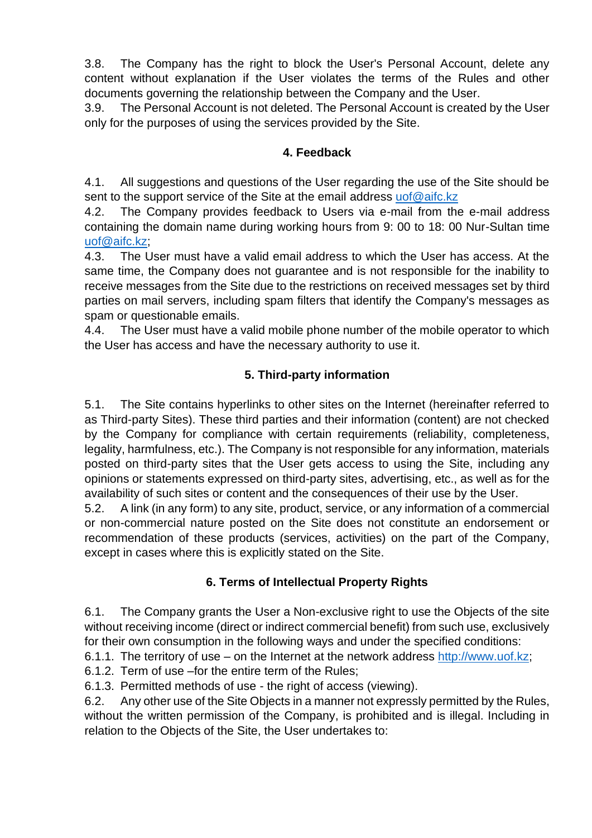3.8. The Company has the right to block the User's Personal Account, delete any content without explanation if the User violates the terms of the Rules and other documents governing the relationship between the Company and the User.

3.9. The Personal Account is not deleted. The Personal Account is created by the User only for the purposes of using the services provided by the Site.

## **4. Feedback**

4.1. All suggestions and questions of the User regarding the use of the Site should be sent to the support service of the Site at the email address [uof@aifc.kz](mailto:uof@aifc.kz)

4.2. The Company provides feedback to Users via e-mail from the e-mail address containing the domain name during working hours from 9: 00 to 18: 00 Nur-Sultan time [uof@aifc.kz;](mailto:uof@aifc.kz)

4.3. The User must have a valid email address to which the User has access. At the same time, the Company does not guarantee and is not responsible for the inability to receive messages from the Site due to the restrictions on received messages set by third parties on mail servers, including spam filters that identify the Company's messages as spam or questionable emails.

4.4. The User must have a valid mobile phone number of the mobile operator to which the User has access and have the necessary authority to use it.

## **5. Third-party information**

5.1. The Site contains hyperlinks to other sites on the Internet (hereinafter referred to as Third-party Sites). These third parties and their information (content) are not checked by the Company for compliance with certain requirements (reliability, completeness, legality, harmfulness, etc.). The Company is not responsible for any information, materials posted on third-party sites that the User gets access to using the Site, including any opinions or statements expressed on third-party sites, advertising, etc., as well as for the availability of such sites or content and the consequences of their use by the User.

5.2. A link (in any form) to any site, product, service, or any information of a commercial or non-commercial nature posted on the Site does not constitute an endorsement or recommendation of these products (services, activities) on the part of the Company, except in cases where this is explicitly stated on the Site.

# **6. Terms of Intellectual Property Rights**

6.1. The Company grants the User a Non-exclusive right to use the Objects of the site without receiving income (direct or indirect commercial benefit) from such use, exclusively for their own consumption in the following ways and under the specified conditions:

6.1.1. The territory of use – on the Internet at the network address [http://www.uof.kz;](http://www.uof.kz/)

6.1.2. Term of use –for the entire term of the Rules;

6.1.3. Permitted methods of use - the right of access (viewing).

6.2. Any other use of the Site Objects in a manner not expressly permitted by the Rules, without the written permission of the Company, is prohibited and is illegal. Including in relation to the Objects of the Site, the User undertakes to: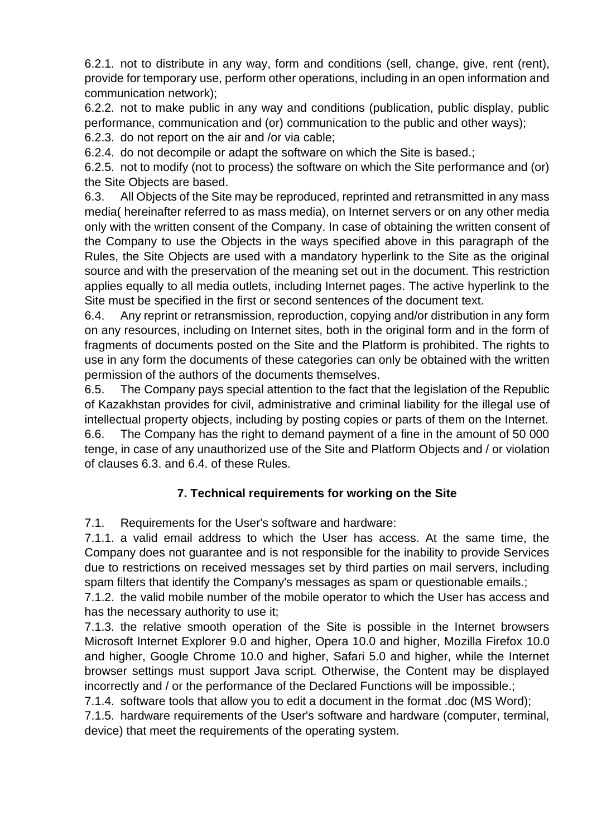6.2.1. not to distribute in any way, form and conditions (sell, change, give, rent (rent), provide for temporary use, perform other operations, including in an open information and communication network);

6.2.2. not to make public in any way and conditions (publication, public display, public performance, communication and (or) communication to the public and other ways); 6.2.3. do not report on the air and /or via cable;

6.2.4. do not decompile or adapt the software on which the Site is based.;

6.2.5. not to modify (not to process) the software on which the Site performance and (or) the Site Objects are based.

6.3. All Objects of the Site may be reproduced, reprinted and retransmitted in any mass media( hereinafter referred to as mass media), on Internet servers or on any other media only with the written consent of the Company. In case of obtaining the written consent of the Company to use the Objects in the ways specified above in this paragraph of the Rules, the Site Objects are used with a mandatory hyperlink to the Site as the original source and with the preservation of the meaning set out in the document. This restriction applies equally to all media outlets, including Internet pages. The active hyperlink to the Site must be specified in the first or second sentences of the document text.

6.4. Any reprint or retransmission, reproduction, copying and/or distribution in any form on any resources, including on Internet sites, both in the original form and in the form of fragments of documents posted on the Site and the Platform is prohibited. The rights to use in any form the documents of these categories can only be obtained with the written permission of the authors of the documents themselves.

6.5. The Company pays special attention to the fact that the legislation of the Republic of Kazakhstan provides for civil, administrative and criminal liability for the illegal use of intellectual property objects, including by posting copies or parts of them on the Internet. 6.6. The Company has the right to demand payment of a fine in the amount of 50 000 tenge, in case of any unauthorized use of the Site and Platform Objects and / or violation of clauses 6.3. and 6.4. of these Rules.

## **7. Technical requirements for working on the Site**

7.1. Requirements for the User's software and hardware:

7.1.1. a valid email address to which the User has access. At the same time, the Company does not guarantee and is not responsible for the inability to provide Services due to restrictions on received messages set by third parties on mail servers, including spam filters that identify the Company's messages as spam or questionable emails.;

7.1.2. the valid mobile number of the mobile operator to which the User has access and has the necessary authority to use it;

7.1.3. the relative smooth operation of the Site is possible in the Internet browsers Microsoft Internet Explorer 9.0 and higher, Opera 10.0 and higher, Mozilla Firefox 10.0 and higher, Google Chrome 10.0 and higher, Safari 5.0 and higher, while the Internet browser settings must support Java script. Otherwise, the Content may be displayed incorrectly and / or the performance of the Declared Functions will be impossible.;

7.1.4. software tools that allow you to edit a document in the format .doc (MS Word);

7.1.5. hardware requirements of the User's software and hardware (computer, terminal, device) that meet the requirements of the operating system.